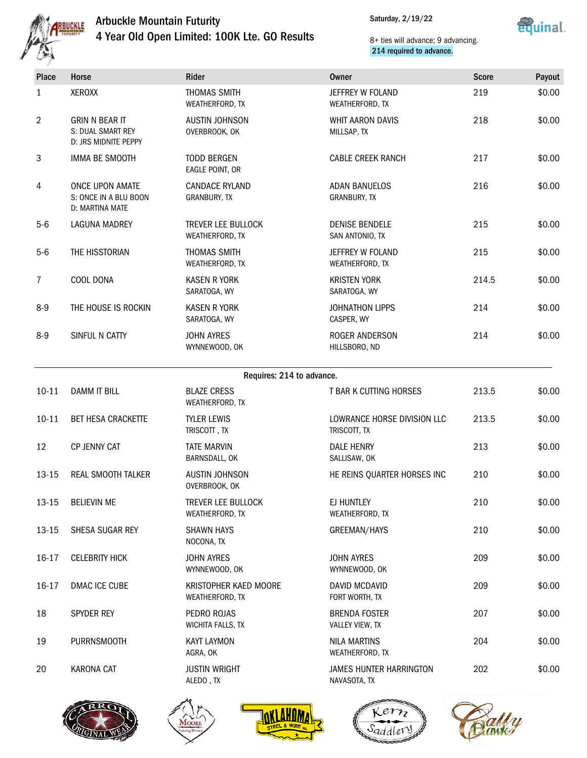

## Arbuckle Mountain Futurity 4 Year Old Open Limited: 100K Lte. GO Results



## 8+ ties will advance; 9 advancing. 214 required to advance.

| وبعصما         |                                                                    |                                              |                                             |              |        |
|----------------|--------------------------------------------------------------------|----------------------------------------------|---------------------------------------------|--------------|--------|
| Place          | Horse                                                              | Rider                                        | <b>Owner</b>                                | <b>Score</b> | Payout |
| $\mathbf{1}$   | <b>XEROXX</b>                                                      | THOMAS SMITH<br>WEATHERFORD, TX              | JEFFREY W FOLAND<br><b>WEATHERFORD, TX</b>  | 219          | \$0.00 |
| $\overline{2}$ | <b>GRIN N BEAR IT</b><br>S: DUAL SMART REY<br>D: JRS MIDNITE PEPPY | <b>AUSTIN JOHNSON</b><br>OVERBROOK, OK       | <b>WHIT AARON DAVIS</b><br>MILLSAP, TX      | 218          | \$0.00 |
| 3              | IMMA BE SMOOTH                                                     | <b>TODD BERGEN</b><br>EAGLE POINT, OR        | <b>CABLE CREEK RANCH</b>                    | 217          | \$0.00 |
| 4              | ONCE UPON AMATE<br>S: ONCE IN A BLU BOON<br>D: MARTINA MATE        | <b>CANDACE RYLAND</b><br>GRANBURY, TX        | <b>ADAN BANUELOS</b><br><b>GRANBURY, TX</b> | 216          | \$0.00 |
| $5-6$          | <b>LAGUNA MADREY</b>                                               | <b>TREVER LEE BULLOCK</b><br>WEATHERFORD, TX | <b>DENISE BENDELE</b><br>SAN ANTONIO, TX    | 215          | \$0.00 |
| $5-6$          | THE HISSTORIAN                                                     | <b>THOMAS SMITH</b><br>WEATHERFORD, TX       | JEFFREY W FOLAND<br>WEATHERFORD, TX         | 215          | \$0.00 |
| $\overline{7}$ | COOL DONA                                                          | <b>KASEN R YORK</b><br>SARATOGA, WY          | <b>KRISTEN YORK</b><br>SARATOGA, WY         | 214.5        | \$0.00 |
| $8-9$          | THE HOUSE IS ROCKIN                                                | <b>KASEN R YORK</b><br>SARATOGA, WY          | <b>JOHNATHON LIPPS</b><br>CASPER, WY        | 214          | \$0.00 |
| $8 - 9$        | SINFUL N CATTY                                                     | <b>JOHN AYRES</b><br>WYNNEWOOD, OK           | ROGER ANDERSON<br>HILLSBORO, ND             | 214          | \$0.00 |
|                |                                                                    | Requires: 214 to advance.                    |                                             |              |        |
| $10 - 11$      | <b>DAMM IT BILL</b>                                                | <b>BLAZE CRESS</b><br>WEATHERFORD, TX        | T BAR K CUTTING HORSES                      | 213.5        | \$0.00 |
| $10 - 11$      | BET HESA CRACKETTE                                                 | <b>TYLER LEWIS</b><br>TRISCOTT, TX           | LOWRANCE HORSE DIVISION LLC<br>TRISCOTT, TX | 213.5        | \$0.00 |
| 12             | CP JENNY CAT                                                       | <b>TATE MARVIN</b><br>BARNSDALL, OK          | <b>DALE HENRY</b><br>SALLISAW, OK           | 213          | \$0.00 |
| $13 - 15$      | REAL SMOOTH TALKER                                                 | <b>AUSTIN JOHNSON</b><br>OVERBROOK, OK       | HE REINS QUARTER HORSES INC                 | 210          | \$0.00 |
| $13 - 15$      | <b>BELIEVIN ME</b>                                                 | <b>TREVER LEE BULLOCK</b><br>WEATHERFORD, TX | EJ HUNTLEY<br>WEATHERFORD, TX               | 210          | \$0.00 |
| $13 - 15$      | SHESA SUGAR REY                                                    | <b>SHAWN HAYS</b><br>NOCONA, TX              | GREEMAN/HAYS                                | 210          | \$0.00 |



16-17 CELEBRITY HICK JOHN AYRES

18 SPYDER REY PEDRO ROJAS

19 PURRNSMOOTH KAYT LAYMON

20 KARONA CAT JUSTIN WRIGHT

16-17 DMAC ICE CUBE KRISTOPHER KAED MOORE



WYNNEWOOD, OK

WEATHERFORD, TX

WICHITA FALLS, TX

AGRA, OK

ALEDO , TX





JAMES HUNTER HARRINGTON

JOHN AYRES WYNNEWOOD, OK

DAVID MCDAVID FORT WORTH, TX

BRENDA FOSTER VALLEY VIEW, TX

NILA MARTINS WEATHERFORD, TX

NAVASOTA, TX



209 \$0.00

209 \$0.00

207 \$0.00

204 \$0.00

202 \$0.00